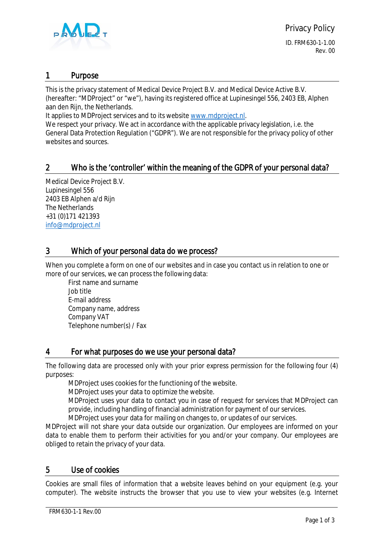

ID. FRM630-1-1.00 Rev. 00

#### 1 Purpose

This is the privacy statement of Medical Device Project B.V. and Medical Device Active B.V. (hereafter: "MDProject" or "we"), having its registered office at Lupinesingel 556, 2403 EB, Alphen aan den Rijn, the Netherlands.

It applies to MDProject services and to its website [www.mdproject.nl.](http://www.mdproject.nl/)

We respect your privacy. We act in accordance with the applicable privacy legislation, i.e. the General Data Protection Regulation ("GDPR"). We are not responsible for the privacy policy of other websites and sources.

# 2 Who is the 'controller' within the meaning of the GDPR of your personal data?

Medical Device Project B.V. Lupinesingel 556 2403 EB Alphen a/d Rijn The Netherlands +31 (0)171 421393 [info@mdproject.nl](mailto:info@mdproject.nl)

# 3 Which of your personal data do we process?

When you complete a form on one of our websites and in case you contact us in relation to one or more of our services, we can process the following data:

First name and surname Job title E-mail address Company name, address Company VAT Telephone number(s) / Fax

## 4 For what purposes do we use your personal data?

The following data are processed only with your prior express permission for the following four (4) purposes:

MDProject uses cookies for the functioning of the website.

MDProject uses your data to optimize the website.

MDProject uses your data to contact you in case of request for services that MDProject can provide, including handling of financial administration for payment of our services.

MDProject uses your data for mailing on changes to, or updates of our services.

MDProject will not share your data outside our organization. Our employees are informed on your data to enable them to perform their activities for you and/or your company. Our employees are obliged to retain the privacy of your data.

#### 5 Use of cookies

Cookies are small files of information that a website leaves behind on your equipment (e.g. your computer). The website instructs the browser that you use to view your websites (e.g. Internet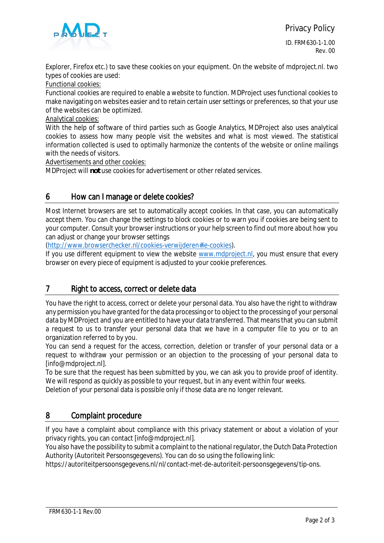

Explorer, Firefox etc.) to save these cookies on your equipment. On the website of mdproject.nl. two types of cookies are used:

Functional cookies:

Functional cookies are required to enable a website to function. MDProject uses functional cookies to make navigating on websites easier and to retain certain user settings or preferences, so that your use of the websites can be optimized.

Analytical cookies:

With the help of software of third parties such as Google Analytics, MDProject also uses analytical cookies to assess how many people visit the websites and what is most viewed. The statistical information collected is used to optimally harmonize the contents of the website or online mailings with the needs of visitors.

Advertisements and other cookies:

MDProject will **not** use cookies for advertisement or other related services.

#### 6 How can I manage or delete cookies?

Most Internet browsers are set to automatically accept cookies. In that case, you can automatically accept them. You can change the settings to block cookies or to warn you if cookies are being sent to your computer. Consult your browser instructions or your help screen to find out more about how you can adjust or change your browser settings

[\(http://www.browserchecker.nl/cookies-verwijderen#ie-cookies](http://www.browserchecker.nl/cookies-verwijderen#ie-cookies)).

If you use different equipment to view the website [www.mdproject.nl](http://www.mdproject.nl/), you must ensure that every browser on every piece of equipment is adjusted to your cookie preferences.

## 7 Right to access, correct or delete data

You have the right to access, correct or delete your personal data. You also have the right to withdraw any permission you have granted for the data processing or to object to the processing of your personal data by MDProject and you are entitled to have your data transferred. That means that you can submit a request to us to transfer your personal data that we have in a computer file to you or to an organization referred to by you.

You can send a request for the access, correction, deletion or transfer of your personal data or a request to withdraw your permission or an objection to the processing of your personal data to [info@mdproject.nl].

To be sure that the request has been submitted by you, we can ask you to provide proof of identity. We will respond as quickly as possible to your request, but in any event within four weeks.

Deletion of your personal data is possible only if those data are no longer relevant.

## 8 Complaint procedure

If you have a complaint about compliance with this privacy statement or about a violation of your privacy rights, you can contact [info@mdproject.nl].

You also have the possibility to submit a complaint to the national regulator, the Dutch Data Protection Authority (Autoriteit Persoonsgegevens). You can do so using the following link:

https://autoriteitpersoonsgegevens.nl/nl/contact-met-de-autoriteit-persoonsgegevens/tip-ons.